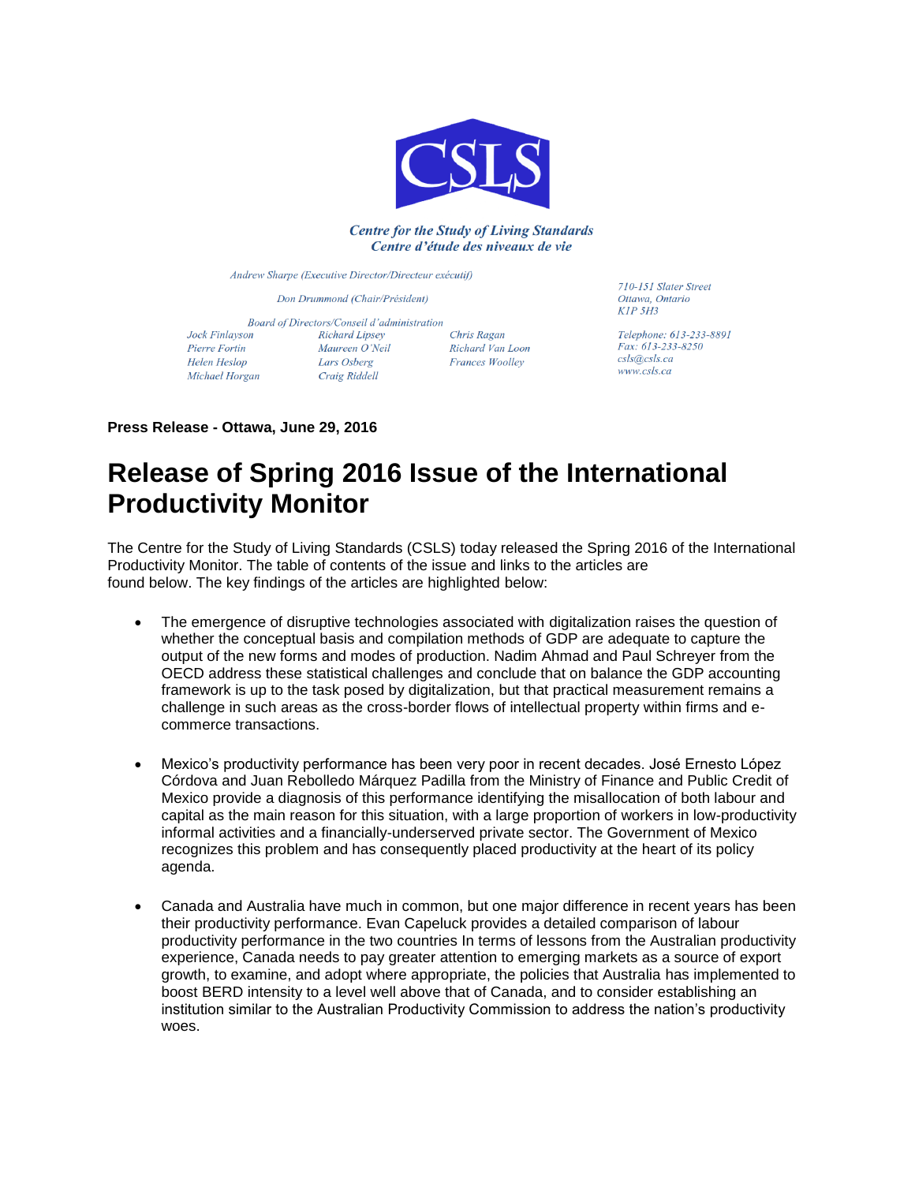

### **Centre for the Study of Living Standards** Centre d'étude des niveaux de vie

Andrew Sharpe (Executive Director/Directeur exécutif)

Don Drummond (Chair/Président)

Jock Finlayson Pierre Fortin Helen Heslop Michael Horgan

Board of Directors/Conseil d'administration Richard Lipsey Maureen O'Neil Lars Osberg Craig Riddell

Chris Ragan Richard Van Loon Frances Woolley

710-151 Slater Street Ottawa Ontario  $KIP$  5H3

Telephone: 613-233-8891 Fax: 613-233-8250 csls@csls.ca www.csls.ca

**Press Release - Ottawa, June 29, 2016**

# **Release of Spring 2016 Issue of the International Productivity Monitor**

The Centre for the Study of Living Standards (CSLS) today released the Spring 2016 of the International Productivity Monitor. The table of contents of the issue and links to the articles are found below. The key findings of the articles are highlighted below:

- The emergence of disruptive technologies associated with digitalization raises the question of whether the conceptual basis and compilation methods of GDP are adequate to capture the output of the new forms and modes of production. Nadim Ahmad and Paul Schreyer from the OECD address these statistical challenges and conclude that on balance the GDP accounting framework is up to the task posed by digitalization, but that practical measurement remains a challenge in such areas as the cross-border flows of intellectual property within firms and ecommerce transactions.
- Mexico's productivity performance has been very poor in recent decades. José Ernesto López Córdova and Juan Rebolledo Márquez Padilla from the Ministry of Finance and Public Credit of Mexico provide a diagnosis of this performance identifying the misallocation of both labour and capital as the main reason for this situation, with a large proportion of workers in low-productivity informal activities and a financially-underserved private sector. The Government of Mexico recognizes this problem and has consequently placed productivity at the heart of its policy agenda.
- Canada and Australia have much in common, but one major difference in recent years has been their productivity performance. Evan Capeluck provides a detailed comparison of labour productivity performance in the two countries In terms of lessons from the Australian productivity experience, Canada needs to pay greater attention to emerging markets as a source of export growth, to examine, and adopt where appropriate, the policies that Australia has implemented to boost BERD intensity to a level well above that of Canada, and to consider establishing an institution similar to the Australian Productivity Commission to address the nation's productivity woes.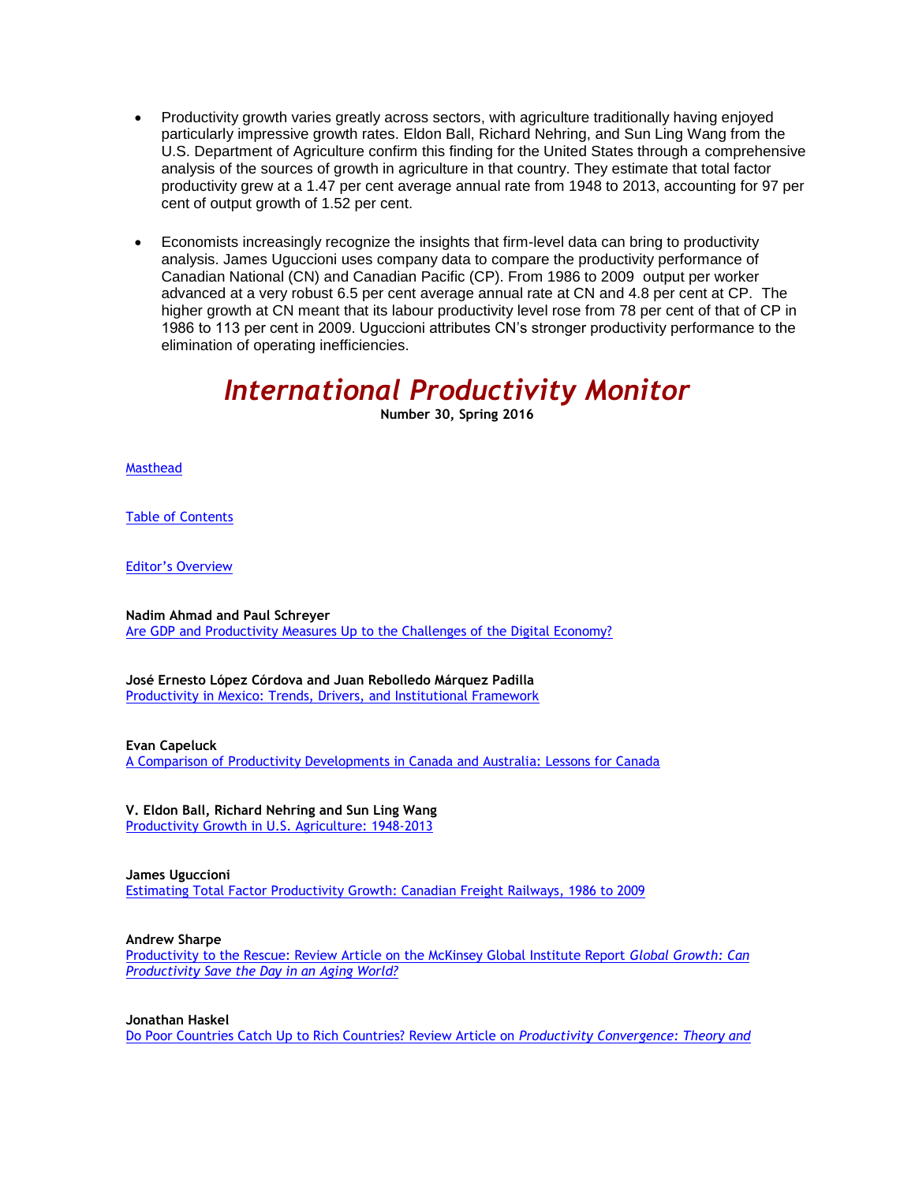- Productivity growth varies greatly across sectors, with agriculture traditionally having enjoyed particularly impressive growth rates. Eldon Ball, Richard Nehring, and Sun Ling Wang from the U.S. Department of Agriculture confirm this finding for the United States through a comprehensive analysis of the sources of growth in agriculture in that country. They estimate that total factor productivity grew at a 1.47 per cent average annual rate from 1948 to 2013, accounting for 97 per cent of output growth of 1.52 per cent.
- Economists increasingly recognize the insights that firm-level data can bring to productivity analysis. James Uguccioni uses company data to compare the productivity performance of Canadian National (CN) and Canadian Pacific (CP). From 1986 to 2009 output per worker advanced at a very robust 6.5 per cent average annual rate at CN and 4.8 per cent at CP. The higher growth at CN meant that its labour productivity level rose from 78 per cent of that of CP in 1986 to 113 per cent in 2009. Uguccioni attributes CN's stronger productivity performance to the elimination of operating inefficiencies.

# *International Productivity Monitor*

**Number 30, Spring 2016**

[Masthead](http://www.csls.ca/ipm/30/masthead.pdf)

[Table of Contents](http://www.csls.ca/ipm/30/toc.pdf)

[Editor's Overview](http://www.csls.ca/ipm/30/editorsoverview.pdf)

**Nadim Ahmad and Paul Schreyer** [Are GDP and Productivity Measures Up to the Challenges of the Digital Economy?](http://www.csls.ca/ipm/30/ahmadandschreyer.pdf)

**José Ernesto López Córdova and Juan Rebolledo Márquez Padilla** [Productivity in Mexico: Trends, Drivers, and Institutional Framework](http://www.csls.ca/ipm/30/cordovaandpadilla.pdf)

**Evan Capeluck**

[A Comparison of Productivity Developments in Canada and Australia: Lessons for Canada](http://www.csls.ca/ipm/30/capeluck.pdf)

**V. Eldon Ball, Richard Nehring and Sun Ling Wang**

[Productivity Growth in U.S. Agriculture: 1948-2013](http://www.csls.ca/ipm/30/ballnehringandwang.pdf)

#### **James Uguccioni**

[Estimating Total Factor Productivity Growth: Canadian Freight Railways, 1986 to 2009](http://www.csls.ca/ipm/30/uguccioni.pdf)

#### **Andrew Sharpe**

[Productivity to the Rescue: Review Article on the McKinsey Global Institute Report](http://www.csls.ca/ipm/30/sharpe.pdf) *Global Growth: Can [Productivity Save the Day in an Aging World?](http://www.csls.ca/ipm/30/sharpe.pdf)*

#### **Jonathan Haskel**

[Do Poor Countries Catch Up to Rich Countries? Review Article on](http://www.csls.ca/ipm/30/haskel.pdf) *Productivity Convergence: Theory and*